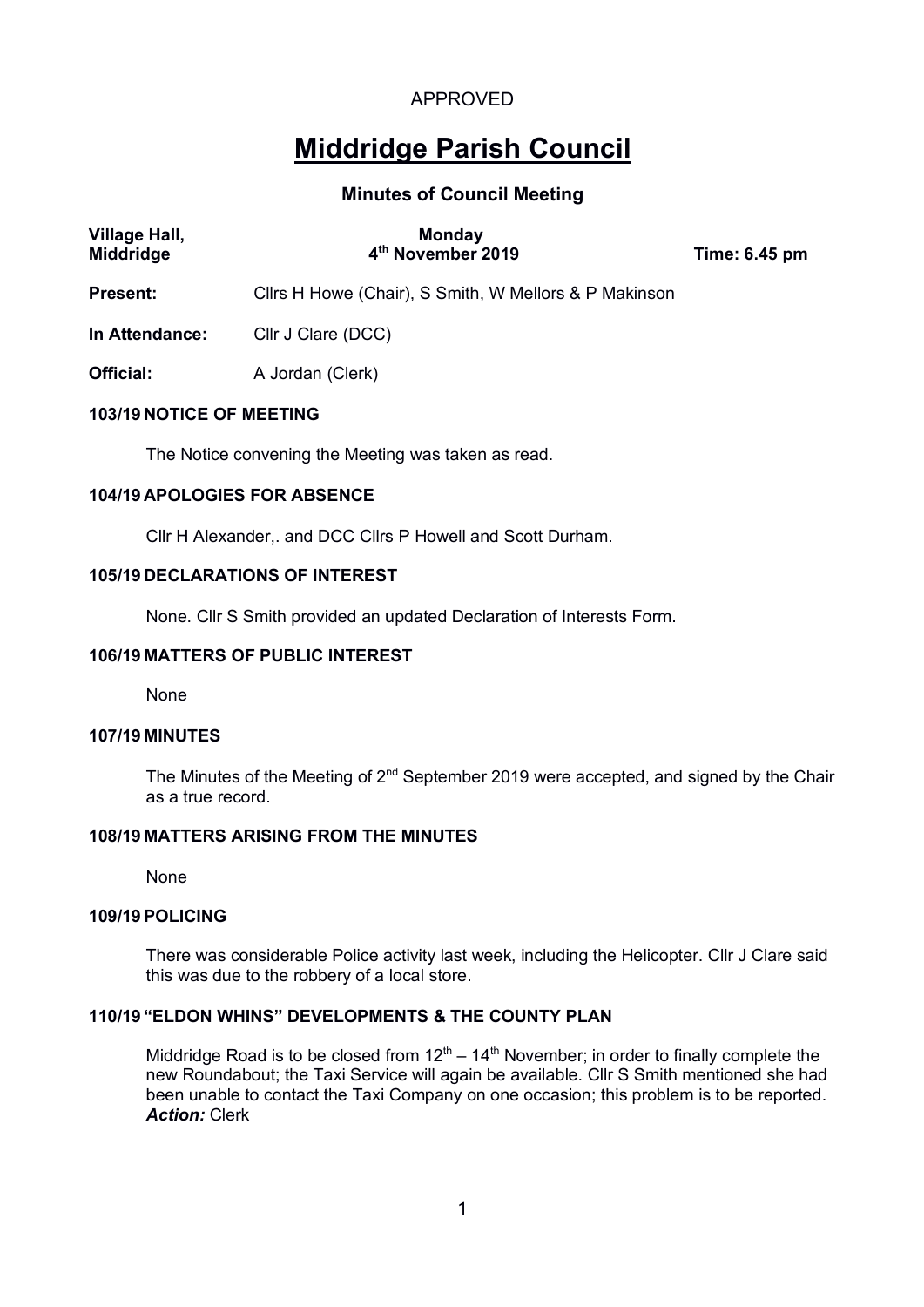# **Middridge Parish Council**

# **Minutes of Council Meeting**

| <b>Village Hall,</b><br>Middridge | <b>Monday</b><br>4 <sup>th</sup> November 2019        | Time: 6.45 pm |
|-----------------------------------|-------------------------------------------------------|---------------|
| <b>Present:</b>                   | Cllrs H Howe (Chair), S Smith, W Mellors & P Makinson |               |
| In Attendance:                    | Cllr J Clare (DCC)                                    |               |
| Official:                         | A Jordan (Clerk)                                      |               |
| <b>103/19 NOTICE OF MEETING</b>   |                                                       |               |

The Notice convening the Meeting was taken as read.

### **104/19 APOLOGIES FOR ABSENCE**

Cllr H Alexander,. and DCC Cllrs P Howell and Scott Durham.

### **105/19 DECLARATIONS OF INTEREST**

None. Cllr S Smith provided an updated Declaration of Interests Form.

# **106/19 MATTERS OF PUBLIC INTEREST**

None

### **107/19 MINUTES**

The Minutes of the Meeting of 2<sup>nd</sup> September 2019 were accepted, and signed by the Chair as a true record.

### **108/19 MATTERS ARISING FROM THE MINUTES**

None

### **109/19POLICING**

There was considerable Police activity last week, including the Helicopter. Cllr J Clare said this was due to the robbery of a local store.

### **110/19 "ELDON WHINS" DEVELOPMENTS & THE COUNTY PLAN**

Middridge Road is to be closed from  $12<sup>th</sup> - 14<sup>th</sup>$  November; in order to finally complete the new Roundabout; the Taxi Service will again be available. Cllr S Smith mentioned she had been unable to contact the Taxi Company on one occasion; this problem is to be reported. *Action:* Clerk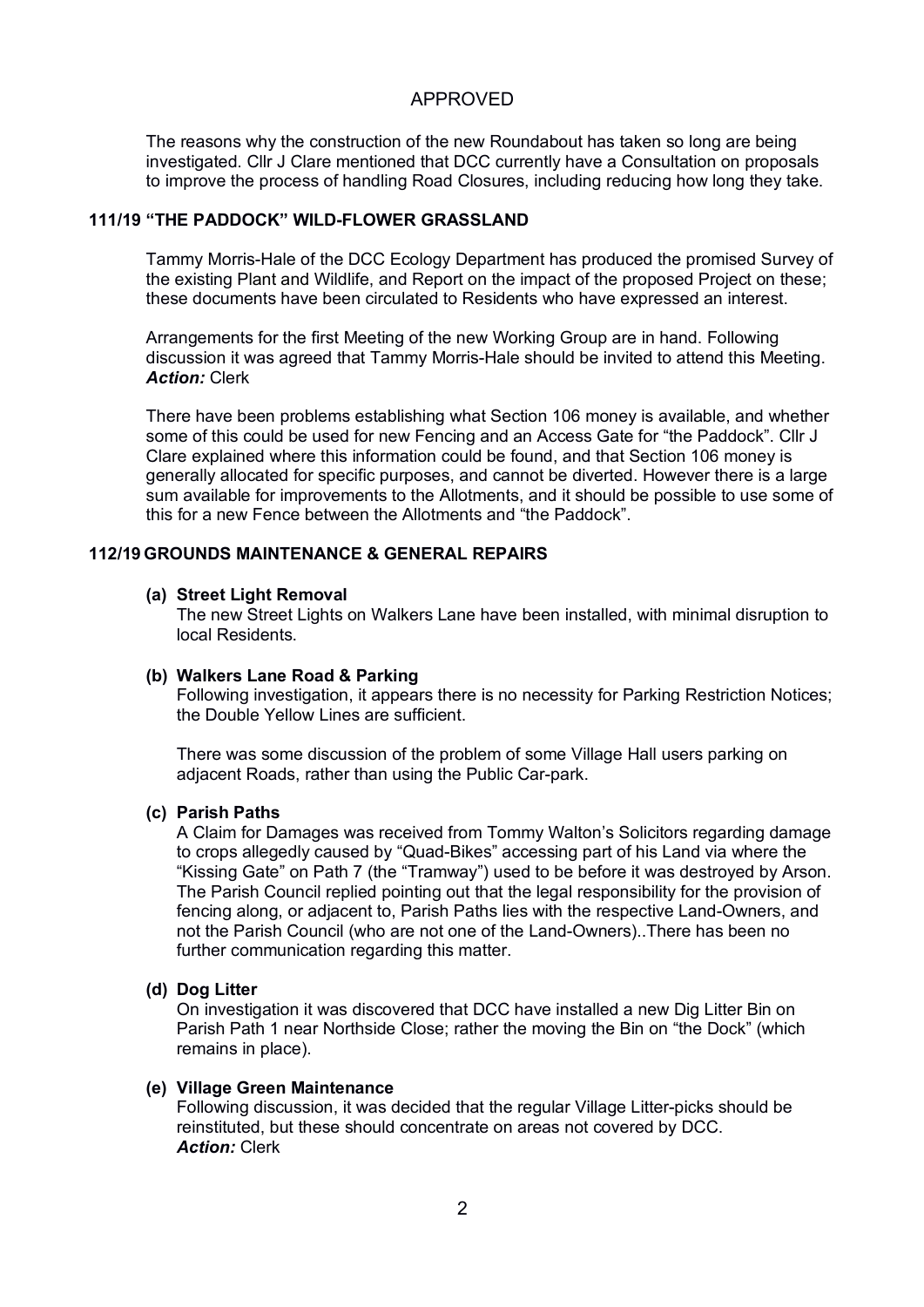The reasons why the construction of the new Roundabout has taken so long are being investigated. Cllr J Clare mentioned that DCC currently have a Consultation on proposals to improve the process of handling Road Closures, including reducing how long they take.

# **111/19 "THE PADDOCK" WILD-FLOWER GRASSLAND**

Tammy Morris-Hale of the DCC Ecology Department has produced the promised Survey of the existing Plant and Wildlife, and Report on the impact of the proposed Project on these; these documents have been circulated to Residents who have expressed an interest.

Arrangements for the first Meeting of the new Working Group are in hand. Following discussion it was agreed that Tammy Morris-Hale should be invited to attend this Meeting. *Action:* Clerk

There have been problems establishing what Section 106 money is available, and whether some of this could be used for new Fencing and an Access Gate for "the Paddock". Cllr J Clare explained where this information could be found, and that Section 106 money is generally allocated for specific purposes, and cannot be diverted. However there is a large sum available for improvements to the Allotments, and it should be possible to use some of this for a new Fence between the Allotments and "the Paddock".

### **112/19 GROUNDS MAINTENANCE & GENERAL REPAIRS**

#### **(a) Street Light Removal**

The new Street Lights on Walkers Lane have been installed, with minimal disruption to local Residents.

### **(b) Walkers Lane Road & Parking**

Following investigation, it appears there is no necessity for Parking Restriction Notices; the Double Yellow Lines are sufficient.

There was some discussion of the problem of some Village Hall users parking on adjacent Roads, rather than using the Public Car-park.

#### **(c) Parish Paths**

A Claim for Damages was received from Tommy Walton's Solicitors regarding damage to crops allegedly caused by "Quad-Bikes" accessing part of his Land via where the "Kissing Gate" on Path 7 (the "Tramway") used to be before it was destroyed by Arson. The Parish Council replied pointing out that the legal responsibility for the provision of fencing along, or adjacent to, Parish Paths lies with the respective Land-Owners, and not the Parish Council (who are not one of the Land-Owners)..There has been no further communication regarding this matter.

### **(d) Dog Litter**

On investigation it was discovered that DCC have installed a new Dig Litter Bin on Parish Path 1 near Northside Close; rather the moving the Bin on "the Dock" (which remains in place).

### **(e) Village Green Maintenance**

Following discussion, it was decided that the regular Village Litter-picks should be reinstituted, but these should concentrate on areas not covered by DCC. *Action:* Clerk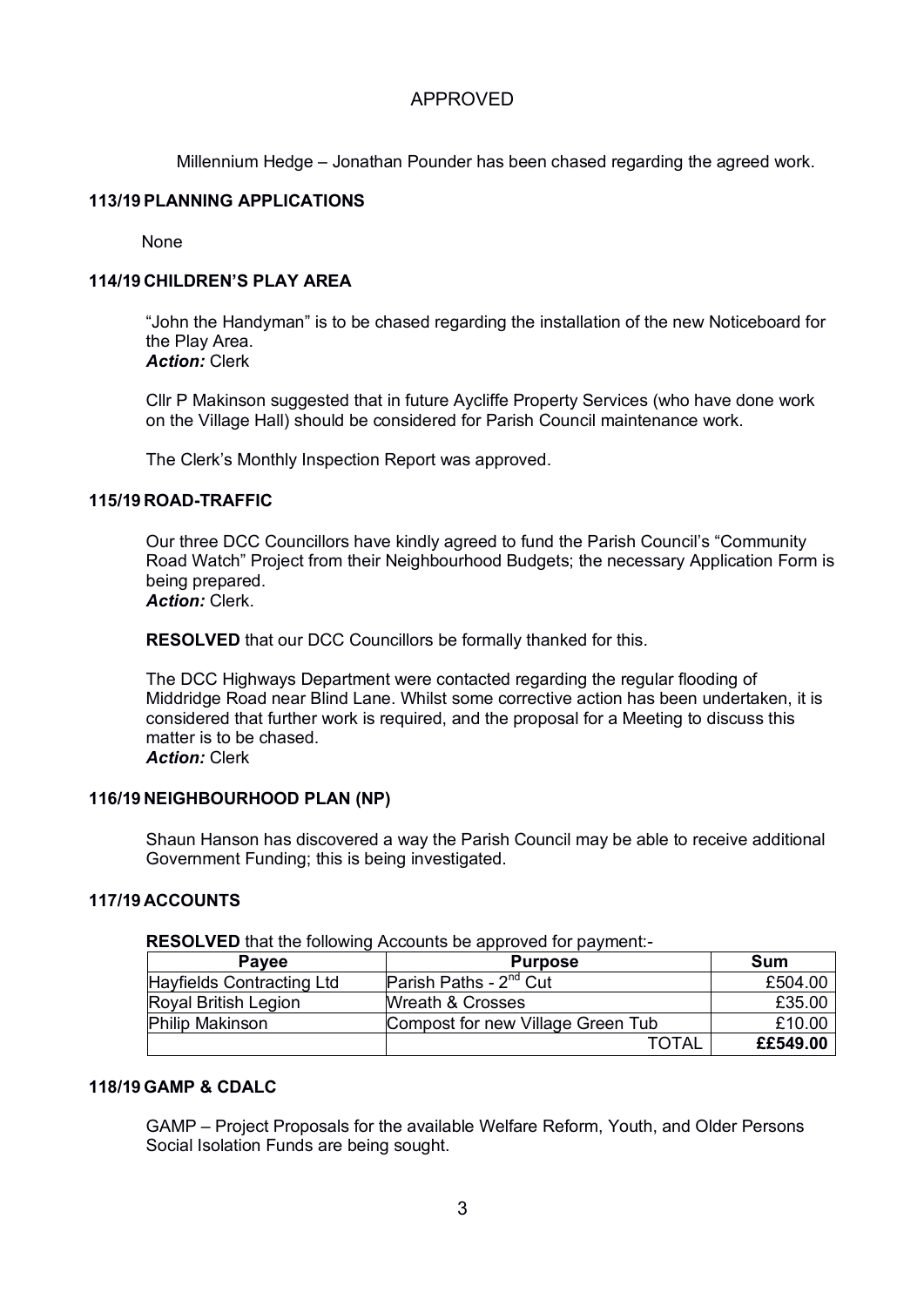Millennium Hedge – Jonathan Pounder has been chased regarding the agreed work.

### **113/19PLANNING APPLICATIONS**

None

# **114/19 CHILDREN'S PLAY AREA**

"John the Handyman" is to be chased regarding the installation of the new Noticeboard for the Play Area. *Action:* Clerk

Cllr P Makinson suggested that in future Aycliffe Property Services (who have done work on the Village Hall) should be considered for Parish Council maintenance work.

The Clerk's Monthly Inspection Report was approved.

### **115/19 ROAD-TRAFFIC**

Our three DCC Councillors have kindly agreed to fund the Parish Council's "Community Road Watch" Project from their Neighbourhood Budgets; the necessary Application Form is being prepared.

*Action:* Clerk.

**RESOLVED** that our DCC Councillors be formally thanked for this.

The DCC Highways Department were contacted regarding the regular flooding of Middridge Road near Blind Lane. Whilst some corrective action has been undertaken, it is considered that further work is required, and the proposal for a Meeting to discuss this matter is to be chased.

*Action:* Clerk

### **116/19 NEIGHBOURHOOD PLAN (NP)**

Shaun Hanson has discovered a way the Parish Council may be able to receive additional Government Funding; this is being investigated.

# **117/19 ACCOUNTS**

### **RESOLVED** that the following Accounts be approved for payment:-

| <b>Pavee</b>              | <b>Purpose</b>                    | Sum      |
|---------------------------|-----------------------------------|----------|
| Hayfields Contracting Ltd | Parish Paths - $2^{nd}$ Cut       | £504.00  |
| Royal British Legion      | <b>Wreath &amp; Crosses</b>       | £35.00   |
| <b>Philip Makinson</b>    | Compost for new Village Green Tub | £10.00   |
|                           | TOTAL                             | ££549.00 |

# **118/19 GAMP & CDALC**

GAMP – Project Proposals for the available Welfare Reform, Youth, and Older Persons Social Isolation Funds are being sought.